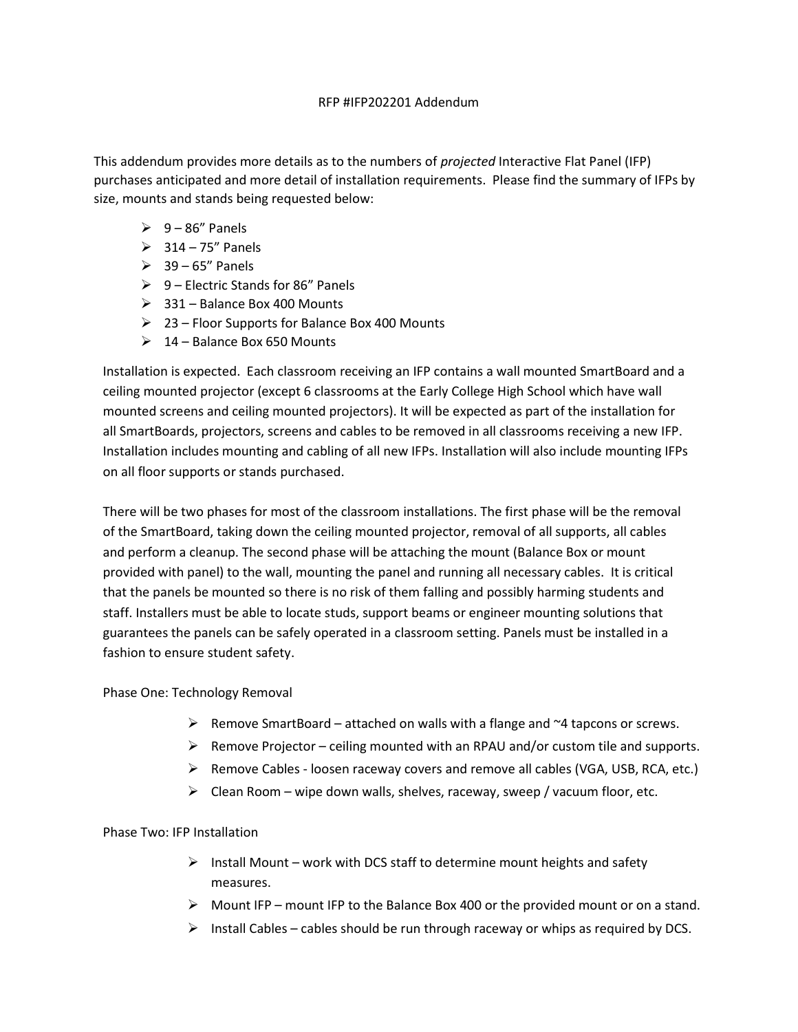## RFP #IFP202201 Addendum

This addendum provides more details as to the numbers of projected Interactive Flat Panel (IFP) purchases anticipated and more detail of installation requirements. Please find the summary of IFPs by size, mounts and stands being requested below:

- $\geq 9 86$ " Panels
- $\geq$  314 75" Panels
- $\geq$  39 65" Panels
- $\geq 9$  Electric Stands for 86" Panels
- $\geq$  331 Balance Box 400 Mounts
- 23 Floor Supports for Balance Box 400 Mounts
- $\geq 14$  Balance Box 650 Mounts

Installation is expected. Each classroom receiving an IFP contains a wall mounted SmartBoard and a ceiling mounted projector (except 6 classrooms at the Early College High School which have wall mounted screens and ceiling mounted projectors). It will be expected as part of the installation for all SmartBoards, projectors, screens and cables to be removed in all classrooms receiving a new IFP. Installation includes mounting and cabling of all new IFPs. Installation will also include mounting IFPs on all floor supports or stands purchased.

There will be two phases for most of the classroom installations. The first phase will be the removal of the SmartBoard, taking down the ceiling mounted projector, removal of all supports, all cables and perform a cleanup. The second phase will be attaching the mount (Balance Box or mount provided with panel) to the wall, mounting the panel and running all necessary cables. It is critical that the panels be mounted so there is no risk of them falling and possibly harming students and staff. Installers must be able to locate studs, support beams or engineer mounting solutions that guarantees the panels can be safely operated in a classroom setting. Panels must be installed in a fashion to ensure student safety.

Phase One: Technology Removal

- $\triangleright$  Remove SmartBoard attached on walls with a flange and  $\sim$ 4 tapcons or screws.
- $\triangleright$  Remove Projector ceiling mounted with an RPAU and/or custom tile and supports.
- $\triangleright$  Remove Cables loosen raceway covers and remove all cables (VGA, USB, RCA, etc.)
- $\triangleright$  Clean Room wipe down walls, shelves, raceway, sweep / vacuum floor, etc.

Phase Two: IFP Installation

- $\triangleright$  Install Mount work with DCS staff to determine mount heights and safety measures.
- $\triangleright$  Mount IFP mount IFP to the Balance Box 400 or the provided mount or on a stand.
- $\triangleright$  Install Cables cables should be run through raceway or whips as required by DCS.